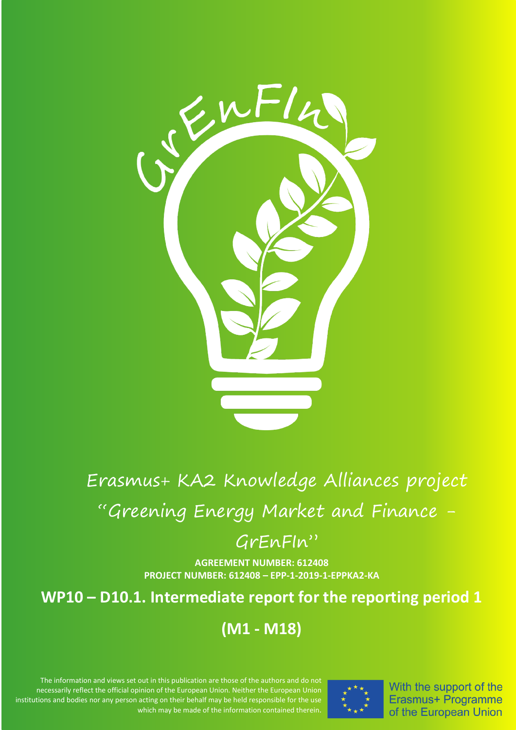

# Erasmus+ KA2 Knowledge Alliances project

"Greening Energy Market and Finance -

# GrEnFIn"

**AGREEMENT NUMBER: 612408 PROJECT NUMBER: 612408 – EPP-1-2019-1-EPPKA2-KA**

# **WP10 – D10.1. Intermediate report for the reporting period 1**

# **(M1 - M18)**

The information and views set out in this publication are those of the authors and do not necessarily reflect the official opinion of the European Union. Neither the European Union institutions and bodies nor any person acting on their behalf may be held responsible for the use which may be made of the information contained therein.



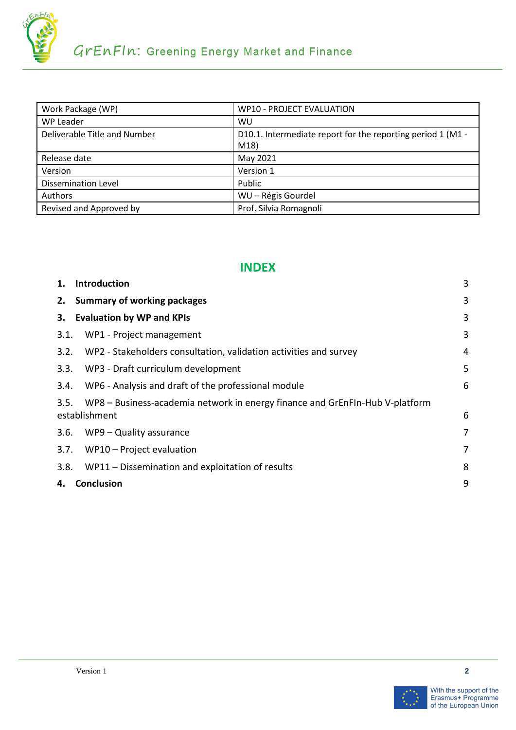

| Work Package (WP)            | <b>WP10 - PROJECT EVALUATION</b>                            |
|------------------------------|-------------------------------------------------------------|
| WP Leader                    | WU                                                          |
| Deliverable Title and Number | D10.1. Intermediate report for the reporting period 1 (M1 - |
|                              | M18)                                                        |
| Release date                 | May 2021                                                    |
| Version                      | Version 1                                                   |
| <b>Dissemination Level</b>   | Public                                                      |
| Authors                      | WU - Régis Gourdel                                          |
| Revised and Approved by      | Prof. Silvia Romagnoli                                      |

#### **INDEX**

|      | 1. Introduction                                                                               | 3 |
|------|-----------------------------------------------------------------------------------------------|---|
|      | 2. Summary of working packages                                                                | 3 |
| 3.   | <b>Evaluation by WP and KPIs</b>                                                              | 3 |
| 3.1. | WP1 - Project management                                                                      | 3 |
| 3.2. | WP2 - Stakeholders consultation, validation activities and survey                             | 4 |
| 3.3. | WP3 - Draft curriculum development                                                            | 5 |
| 3.4. | WP6 - Analysis and draft of the professional module                                           | 6 |
| 3.5. | WP8 - Business-academia network in energy finance and GrEnFIn-Hub V-platform<br>establishment | 6 |
| 3.6. | WP9 – Quality assurance                                                                       | 7 |
| 3.7. | WP10 - Project evaluation                                                                     | 7 |
| 3.8. | WP11 - Dissemination and exploitation of results                                              | 8 |
| 4.   | Conclusion                                                                                    | 9 |
|      |                                                                                               |   |

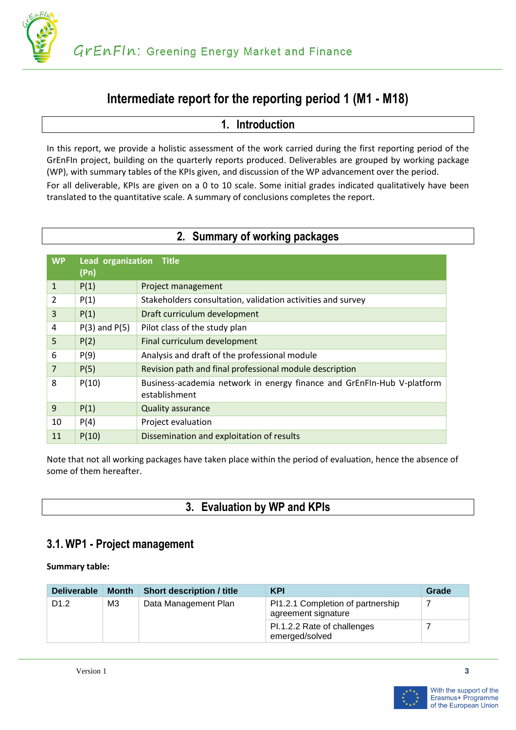

# **Intermediate report for the reporting period 1 (M1 - M18)**

#### **1. Introduction**

<span id="page-2-0"></span>In this report, we provide a holistic assessment of the work carried during the first reporting period of the GrEnFIn project, building on the quarterly reports produced. Deliverables are grouped by working package (WP), with summary tables of the KPIs given, and discussion of the WP advancement over the period.

For all deliverable, KPIs are given on a 0 to 10 scale. Some initial grades indicated qualitatively have been translated to the quantitative scale. A summary of conclusions completes the report.

<span id="page-2-1"></span>

| <b>WP</b>      | Lead organization Title<br>(Pn) |                                                                                         |
|----------------|---------------------------------|-----------------------------------------------------------------------------------------|
| $\mathbf{1}$   | P(1)                            | Project management                                                                      |
| 2              | P(1)                            | Stakeholders consultation, validation activities and survey                             |
| 3              | P(1)                            | Draft curriculum development                                                            |
| 4              | $P(3)$ and $P(5)$               | Pilot class of the study plan                                                           |
| 5              | P(2)                            | Final curriculum development                                                            |
| 6              | P(9)                            | Analysis and draft of the professional module                                           |
| $\overline{7}$ | P(5)                            | Revision path and final professional module description                                 |
| 8              | P(10)                           | Business-academia network in energy finance and GrEnFIn-Hub V-platform<br>establishment |
| 9              | P(1)                            | <b>Quality assurance</b>                                                                |
| 10             | P(4)                            | Project evaluation                                                                      |
| 11             | P(10)                           | Dissemination and exploitation of results                                               |

## **2. Summary of working packages**

Note that not all working packages have taken place within the period of evaluation, hence the absence of some of them hereafter.

## **3. Evaluation by WP and KPIs**

## <span id="page-2-3"></span><span id="page-2-2"></span>**3.1. WP1 - Project management**

| <b>Deliverable</b> | <b>Month</b> | <b>Short description / title</b> | <b>KPI</b>                                               | Grade |
|--------------------|--------------|----------------------------------|----------------------------------------------------------|-------|
| D <sub>1.2</sub>   | M3           | Data Management Plan             | PI1.2.1 Completion of partnership<br>agreement signature |       |
|                    |              |                                  | PI.1.2.2 Rate of challenges<br>emerged/solved            |       |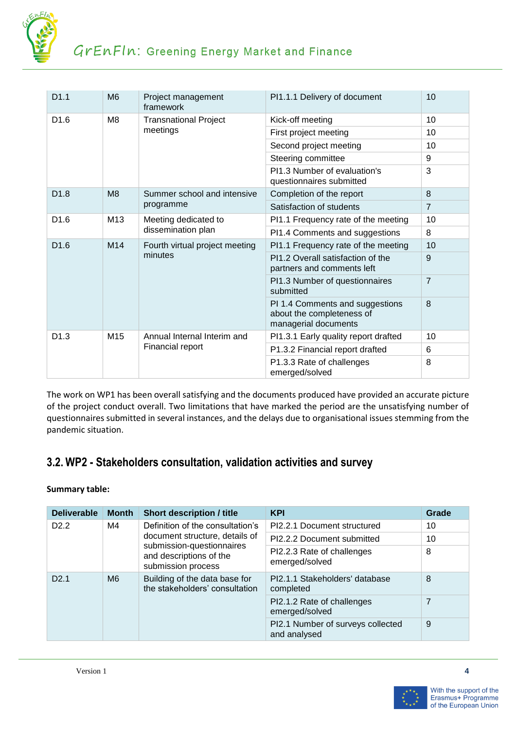

| D1.1             | M <sub>6</sub> | Project management<br>framework            | PI1.1.1 Delivery of document                                                         | 10             |
|------------------|----------------|--------------------------------------------|--------------------------------------------------------------------------------------|----------------|
| D <sub>1.6</sub> | M <sub>8</sub> | <b>Transnational Project</b>               | Kick-off meeting                                                                     | 10             |
|                  |                | meetings                                   | First project meeting                                                                | 10             |
|                  |                |                                            | Second project meeting                                                               | 10             |
|                  |                |                                            | Steering committee                                                                   | 9              |
|                  |                |                                            | PI1.3 Number of evaluation's<br>questionnaires submitted                             | 3              |
| D <sub>1.8</sub> | M <sub>8</sub> | Summer school and intensive                | Completion of the report                                                             | 8              |
|                  |                | programme                                  | Satisfaction of students                                                             | $\overline{7}$ |
| D <sub>1.6</sub> | M13            | Meeting dedicated to<br>dissemination plan | PI1.1 Frequency rate of the meeting                                                  | 10             |
|                  |                |                                            | PI1.4 Comments and suggestions                                                       | 8              |
| D <sub>1.6</sub> | M14            | Fourth virtual project meeting             | PI1.1 Frequency rate of the meeting                                                  | 10             |
|                  |                | minutes                                    | PI1.2 Overall satisfaction of the<br>partners and comments left                      | 9              |
|                  |                |                                            | PI1.3 Number of questionnaires<br>submitted                                          | $\overline{7}$ |
|                  |                |                                            | PI 1.4 Comments and suggestions<br>about the completeness of<br>managerial documents | 8              |
| D <sub>1.3</sub> | M15            | Annual Internal Interim and                | PI1.3.1 Early quality report drafted                                                 | 10             |
|                  |                | Financial report                           | P1.3.2 Financial report drafted                                                      | 6              |
|                  |                |                                            | P1.3.3 Rate of challenges<br>emerged/solved                                          | 8              |

The work on WP1 has been overall satisfying and the documents produced have provided an accurate picture of the project conduct overall. Two limitations that have marked the period are the unsatisfying number of questionnaires submitted in several instances, and the delays due to organisational issues stemming from the pandemic situation.

# <span id="page-3-0"></span>**3.2. WP2 - Stakeholders consultation, validation activities and survey**

| <b>Deliverable</b> | <b>Month</b> | <b>Short description / title</b>                                           | <b>KPI</b>                                        | Grade |
|--------------------|--------------|----------------------------------------------------------------------------|---------------------------------------------------|-------|
| D <sub>2.2</sub>   | M4           | Definition of the consultation's                                           | PI2.2.1 Document structured                       | 10    |
|                    |              | document structure, details of                                             | PI2.2.2 Document submitted                        | 10    |
|                    |              | submission-questionnaires<br>and descriptions of the<br>submission process | PI2.2.3 Rate of challenges<br>emerged/solved      | 8     |
| D2.1               | M6           | Building of the data base for<br>the stakeholders' consultation            | PI2.1.1 Stakeholders' database<br>completed       | 8     |
|                    |              |                                                                            | PI2.1.2 Rate of challenges<br>emerged/solved      | 7     |
|                    |              |                                                                            | PI2.1 Number of surveys collected<br>and analysed | 9     |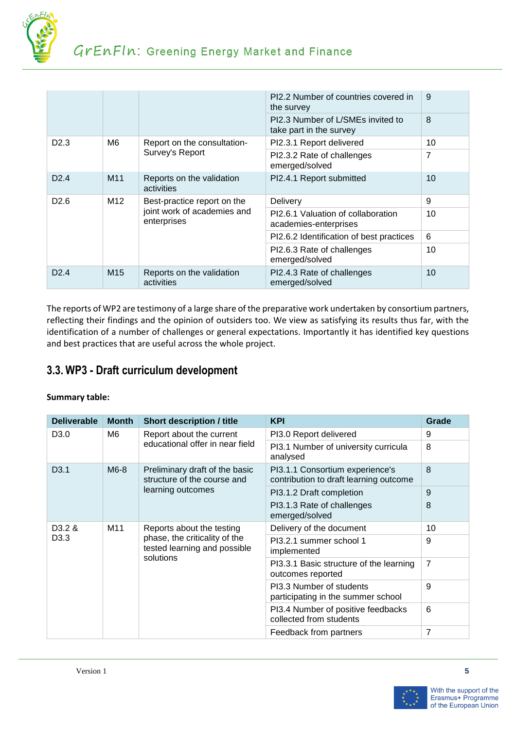

|                  |                 |                                                                           | PI2.2 Number of countries covered in<br>the survey           | 9              |
|------------------|-----------------|---------------------------------------------------------------------------|--------------------------------------------------------------|----------------|
|                  |                 |                                                                           | PI2.3 Number of L/SMEs invited to<br>take part in the survey | 8              |
| D2.3             | M6              | Report on the consultation-                                               | PI2.3.1 Report delivered                                     | 10             |
|                  |                 | Survey's Report                                                           | PI2.3.2 Rate of challenges<br>emerged/solved                 | $\overline{7}$ |
| D <sub>2.4</sub> | M <sub>11</sub> | Reports on the validation<br>activities                                   | PI2.4.1 Report submitted                                     | 10             |
| D <sub>2.6</sub> | M <sub>12</sub> | Best-practice report on the<br>joint work of academies and<br>enterprises | Delivery                                                     | 9              |
|                  |                 |                                                                           | PI2.6.1 Valuation of collaboration<br>academies-enterprises  | 10             |
|                  |                 |                                                                           | PI2.6.2 Identification of best practices                     | 6              |
|                  |                 |                                                                           | PI2.6.3 Rate of challenges<br>emerged/solved                 | 10             |
| D2.4             | M <sub>15</sub> | Reports on the validation<br>activities                                   | PI2.4.3 Rate of challenges<br>emerged/solved                 | 10             |

The reports of WP2 are testimony of a large share of the preparative work undertaken by consortium partners, reflecting their findings and the opinion of outsiders too. We view as satisfying its results thus far, with the identification of a number of challenges or general expectations. Importantly it has identified key questions and best practices that are useful across the whole project.

# <span id="page-4-0"></span>**3.3. WP3 - Draft curriculum development**

| <b>Deliverable</b> | <b>Month</b> | <b>Short description / title</b>                                                           | <b>KPI</b>                                                                | Grade          |
|--------------------|--------------|--------------------------------------------------------------------------------------------|---------------------------------------------------------------------------|----------------|
| D <sub>3.0</sub>   | M6           | Report about the current                                                                   | PI3.0 Report delivered                                                    | 9              |
|                    |              | educational offer in near field                                                            | PI3.1 Number of university curricula<br>analysed                          | 8              |
| D <sub>3.1</sub>   | M6-8         | Preliminary draft of the basic<br>structure of the course and                              | PI3.1.1 Consortium experience's<br>contribution to draft learning outcome | 8              |
|                    |              | learning outcomes                                                                          | PI3.1.2 Draft completion                                                  | 9              |
|                    |              |                                                                                            | PI3.1.3 Rate of challenges<br>emerged/solved                              | 8              |
| D <sub>3.2</sub> & | M11          | Reports about the testing<br>phase, the criticality of the<br>tested learning and possible | Delivery of the document                                                  | 10             |
| D <sub>3.3</sub>   | solutions    |                                                                                            | PI3.2.1 summer school 1<br>implemented                                    | 9              |
|                    |              |                                                                                            | PI3.3.1 Basic structure of the learning<br>outcomes reported              | $\overline{7}$ |
|                    |              |                                                                                            | PI3.3 Number of students<br>participating in the summer school            | 9              |
|                    |              |                                                                                            | PI3.4 Number of positive feedbacks<br>collected from students             | 6              |
|                    |              | Feedback from partners                                                                     | 7                                                                         |                |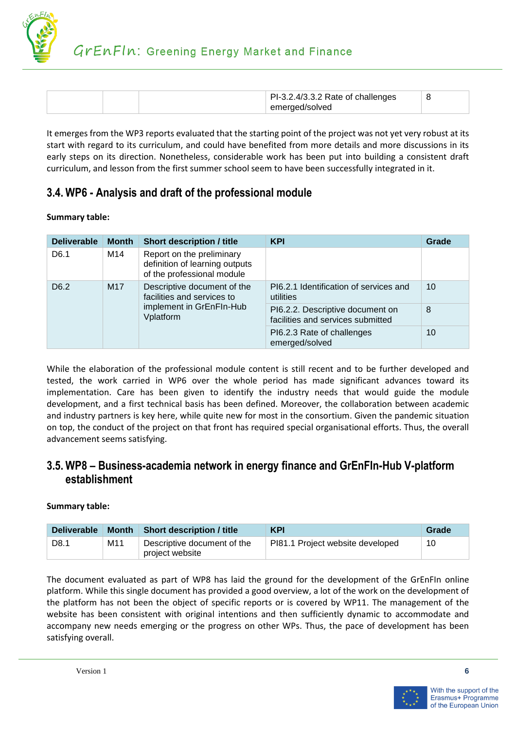

|  | PI-3.2.4/3.3.2 Rate of challenges<br>emerged/solved |  |
|--|-----------------------------------------------------|--|
|--|-----------------------------------------------------|--|

It emerges from the WP3 reports evaluated that the starting point of the project was not yet very robust at its start with regard to its curriculum, and could have benefited from more details and more discussions in its early steps on its direction. Nonetheless, considerable work has been put into building a consistent draft curriculum, and lesson from the first summer school seem to have been successfully integrated in it.

## <span id="page-5-0"></span>**3.4. WP6 - Analysis and draft of the professional module**

#### **Summary table:**

| <b>Deliverable</b> | <b>Month</b> | <b>Short description / title</b>                                                                   | <b>KPI</b>                                                            | Grade |
|--------------------|--------------|----------------------------------------------------------------------------------------------------|-----------------------------------------------------------------------|-------|
| D <sub>6.1</sub>   | M14          | Report on the preliminary<br>definition of learning outputs<br>of the professional module          |                                                                       |       |
| D <sub>6.2</sub>   | M17          | Descriptive document of the<br>facilities and services to<br>implement in GrEnFIn-Hub<br>Vplatform | PI6.2.1 Identification of services and<br>utilities                   | 10    |
|                    |              |                                                                                                    | PI6.2.2. Descriptive document on<br>facilities and services submitted | 8     |
|                    |              |                                                                                                    | PI6.2.3 Rate of challenges<br>emerged/solved                          | 10    |

While the elaboration of the professional module content is still recent and to be further developed and tested, the work carried in WP6 over the whole period has made significant advances toward its implementation. Care has been given to identify the industry needs that would guide the module development, and a first technical basis has been defined. Moreover, the collaboration between academic and industry partners is key here, while quite new for most in the consortium. Given the pandemic situation on top, the conduct of the project on that front has required special organisational efforts. Thus, the overall advancement seems satisfying.

#### <span id="page-5-1"></span>**3.5. WP8 – Business-academia network in energy finance and GrEnFIn-Hub V-platform establishment**

#### **Summary table:**

| <b>Deliverable</b> | Month | Short description / title                      | <b>KPI</b>                       | Grade |
|--------------------|-------|------------------------------------------------|----------------------------------|-------|
| D8.1               | M11   | Descriptive document of the<br>project website | PI81.1 Project website developed | 10    |

The document evaluated as part of WP8 has laid the ground for the development of the GrEnFIn online platform. While this single document has provided a good overview, a lot of the work on the development of the platform has not been the object of specific reports or is covered by WP11. The management of the website has been consistent with original intentions and then sufficiently dynamic to accommodate and accompany new needs emerging or the progress on other WPs. Thus, the pace of development has been satisfying overall.

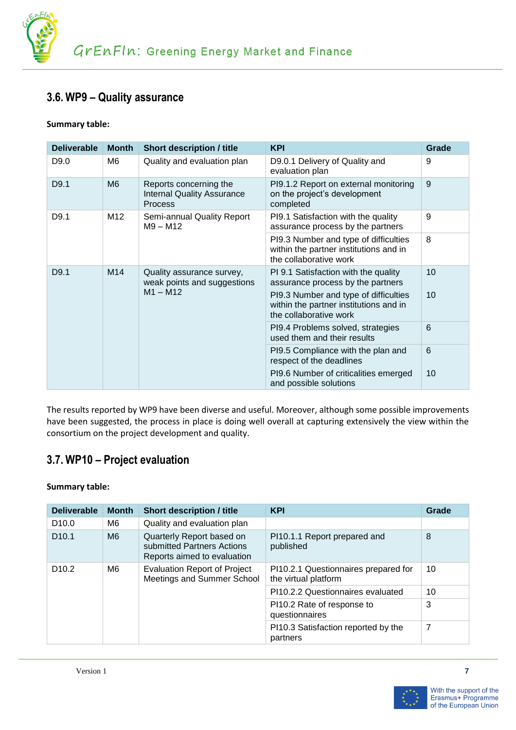

## <span id="page-6-0"></span>**3.6. WP9 – Quality assurance**

#### **Summary table:**

| <b>Deliverable</b> | <b>Month</b>   | <b>Short description / title</b>                                              | <b>KPI</b>                                                                                                | Grade |
|--------------------|----------------|-------------------------------------------------------------------------------|-----------------------------------------------------------------------------------------------------------|-------|
| D9.0               | M6             | Quality and evaluation plan                                                   | D9.0.1 Delivery of Quality and<br>evaluation plan                                                         | 9     |
| D9.1               | M <sub>6</sub> | Reports concerning the<br><b>Internal Quality Assurance</b><br><b>Process</b> | PI9.1.2 Report on external monitoring<br>on the project's development<br>completed                        | 9     |
| D9.1               | M12            | Semi-annual Quality Report<br>$M9 - M12$                                      | PI9.1 Satisfaction with the quality<br>assurance process by the partners                                  | 9     |
|                    |                |                                                                               | PI9.3 Number and type of difficulties<br>within the partner institutions and in<br>the collaborative work | 8     |
| D9.1               | M14            | Quality assurance survey,<br>weak points and suggestions                      | PI 9.1 Satisfaction with the quality<br>assurance process by the partners                                 | 10    |
|                    |                | $M1 - M12$                                                                    | PI9.3 Number and type of difficulties<br>within the partner institutions and in<br>the collaborative work | 10    |
|                    |                |                                                                               | PI9.4 Problems solved, strategies<br>used them and their results                                          | 6     |
|                    |                |                                                                               | PI9.5 Compliance with the plan and<br>respect of the deadlines                                            | 6     |
|                    |                |                                                                               | PI9.6 Number of criticalities emerged<br>and possible solutions                                           | 10    |

The results reported by WP9 have been diverse and useful. Moreover, although some possible improvements have been suggested, the process in place is doing well overall at capturing extensively the view within the consortium on the project development and quality.

## <span id="page-6-1"></span>**3.7. WP10 – Project evaluation**

| <b>Deliverable</b> | <b>Month</b>   | <b>Short description / title</b>                                                       | <b>KPI</b>                                                   | Grade |
|--------------------|----------------|----------------------------------------------------------------------------------------|--------------------------------------------------------------|-------|
| D <sub>10.0</sub>  | M6             | Quality and evaluation plan                                                            |                                                              |       |
| D <sub>10.1</sub>  | M <sub>6</sub> | Quarterly Report based on<br>submitted Partners Actions<br>Reports aimed to evaluation | PI10.1.1 Report prepared and<br>published                    | 8     |
| D <sub>10.2</sub>  | M6             | <b>Evaluation Report of Project</b><br>Meetings and Summer School                      | PI10.2.1 Questionnaires prepared for<br>the virtual platform | 10    |
|                    |                |                                                                                        | PI10.2.2 Questionnaires evaluated                            | 10    |
|                    |                |                                                                                        | PI10.2 Rate of response to<br>questionnaires                 | 3     |
|                    |                |                                                                                        | PI10.3 Satisfaction reported by the<br>partners              | 7     |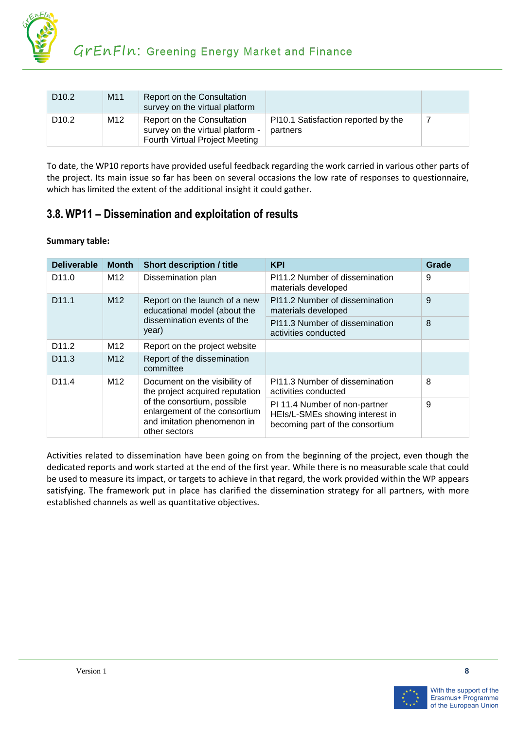

| D <sub>10.2</sub> | M <sub>11</sub> | Report on the Consultation<br>survey on the virtual platform                                     |                                                 |  |
|-------------------|-----------------|--------------------------------------------------------------------------------------------------|-------------------------------------------------|--|
| D <sub>10.2</sub> | M <sub>12</sub> | Report on the Consultation<br>survey on the virtual platform -<br>Fourth Virtual Project Meeting | PI10.1 Satisfaction reported by the<br>partners |  |

To date, the WP10 reports have provided useful feedback regarding the work carried in various other parts of the project. Its main issue so far has been on several occasions the low rate of responses to questionnaire, which has limited the extent of the additional insight it could gather.

## <span id="page-7-0"></span>**3.8. WP11 – Dissemination and exploitation of results**

#### **Summary table:**

| <b>Deliverable</b> | <b>Month</b>    | <b>Short description / title</b>                                                                                                                                                 | <b>KPI</b>                                                                                          | Grade |
|--------------------|-----------------|----------------------------------------------------------------------------------------------------------------------------------------------------------------------------------|-----------------------------------------------------------------------------------------------------|-------|
| D <sub>11.0</sub>  | M <sub>12</sub> | Dissemination plan                                                                                                                                                               | PI11.2 Number of dissemination<br>materials developed                                               | 9     |
| D <sub>11.1</sub>  | M <sub>12</sub> | Report on the launch of a new<br>educational model (about the<br>dissemination events of the<br>year)                                                                            | PI11.2 Number of dissemination<br>materials developed                                               | 9     |
|                    |                 |                                                                                                                                                                                  | PI11.3 Number of dissemination<br>activities conducted                                              | 8     |
| D <sub>11.2</sub>  | M <sub>12</sub> | Report on the project website                                                                                                                                                    |                                                                                                     |       |
| D <sub>11.3</sub>  | M <sub>12</sub> | Report of the dissemination<br>committee                                                                                                                                         |                                                                                                     |       |
| D <sub>11.4</sub>  | M <sub>12</sub> | Document on the visibility of<br>the project acquired reputation<br>of the consortium, possible<br>enlargement of the consortium<br>and imitation phenomenon in<br>other sectors | PI11.3 Number of dissemination<br>activities conducted                                              | 8     |
|                    |                 |                                                                                                                                                                                  | PI 11.4 Number of non-partner<br>HEIs/L-SMEs showing interest in<br>becoming part of the consortium | 9     |

Activities related to dissemination have been going on from the beginning of the project, even though the dedicated reports and work started at the end of the first year. While there is no measurable scale that could be used to measure its impact, or targets to achieve in that regard, the work provided within the WP appears satisfying. The framework put in place has clarified the dissemination strategy for all partners, with more established channels as well as quantitative objectives.

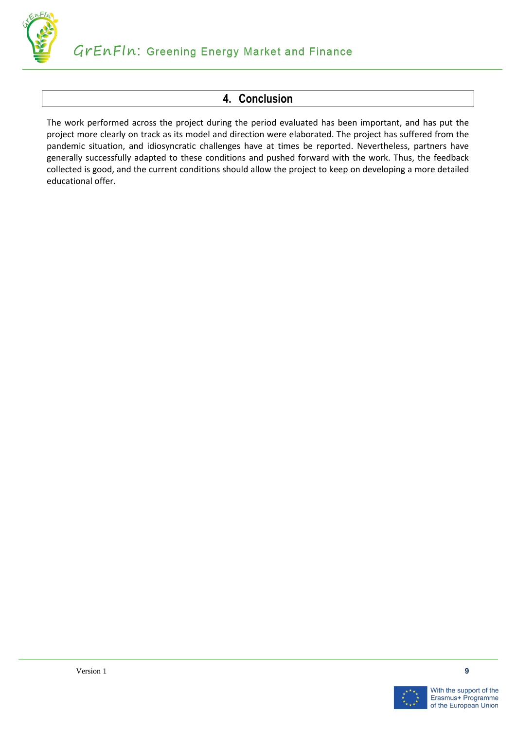

# **4. Conclusion**

<span id="page-8-0"></span>The work performed across the project during the period evaluated has been important, and has put the project more clearly on track as its model and direction were elaborated. The project has suffered from the pandemic situation, and idiosyncratic challenges have at times be reported. Nevertheless, partners have generally successfully adapted to these conditions and pushed forward with the work. Thus, the feedback collected is good, and the current conditions should allow the project to keep on developing a more detailed educational offer.